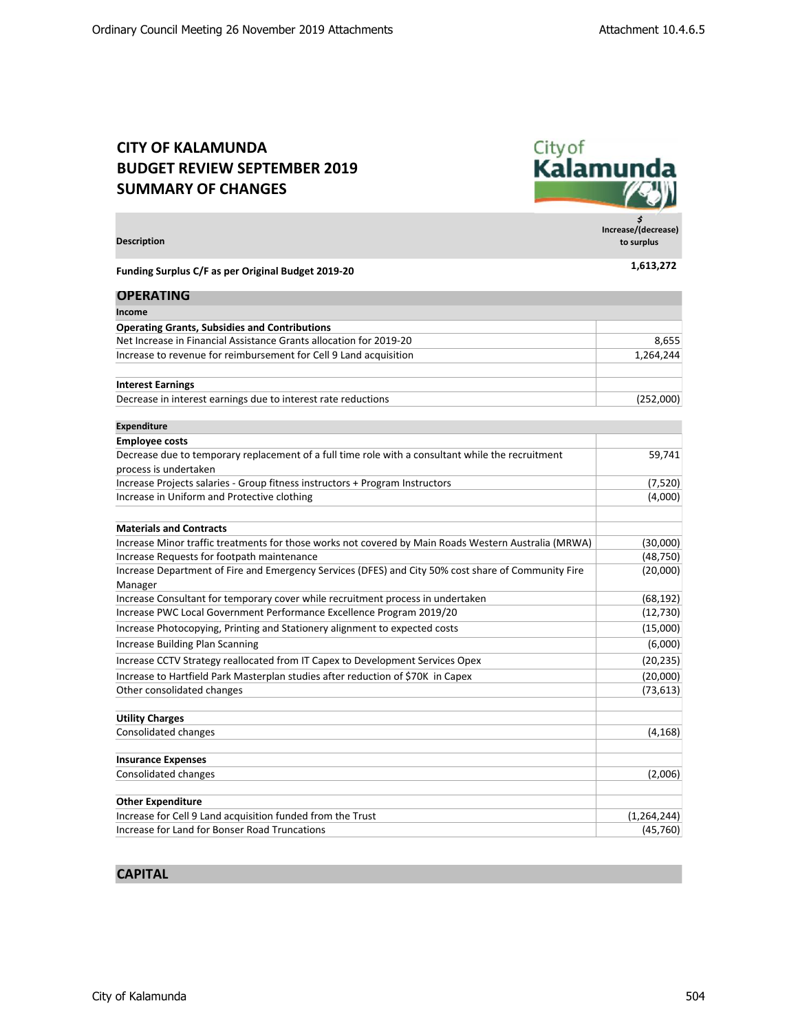## **CITY OF KALAMUNDA BUDGET REVIEW SEPTEMBER 2019 SUMMARY OF CHANGES**



**\$ Increase/(decrease) to surplus**

**Description**

**Funding Surplus C/F as per Original Budget 2019-20 1,613,272**

| <b>OPERATING</b>                                                                                     |           |
|------------------------------------------------------------------------------------------------------|-----------|
| Income                                                                                               |           |
| <b>Operating Grants, Subsidies and Contributions</b>                                                 |           |
| Net Increase in Financial Assistance Grants allocation for 2019-20                                   | 8,655     |
| Increase to revenue for reimbursement for Cell 9 Land acquisition                                    | 1,264,244 |
| <b>Interest Earnings</b>                                                                             |           |
| Decrease in interest earnings due to interest rate reductions                                        | (252,000) |
| <b>Expenditure</b>                                                                                   |           |
| <b>Employee costs</b>                                                                                |           |
| Decrease due to temporary replacement of a full time role with a consultant while the recruitment    | 59,741    |
| process is undertaken                                                                                |           |
| Increase Projects salaries - Group fitness instructors + Program Instructors                         | (7, 520)  |
| Increase in Uniform and Protective clothing                                                          | (4,000)   |
| <b>Materials and Contracts</b>                                                                       |           |
| Increase Minor traffic treatments for those works not covered by Main Roads Western Australia (MRWA) | (30,000)  |
| Increase Requests for footpath maintenance                                                           | (48, 750) |
| Increase Department of Fire and Emergency Services (DFES) and City 50% cost share of Community Fire  | (20,000)  |
| Manager                                                                                              |           |
| Increase Consultant for temporary cover while recruitment process in undertaken                      | (68, 192) |
| Increase PWC Local Government Performance Excellence Program 2019/20                                 | (12,730)  |
| Increase Photocopying, Printing and Stationery alignment to expected costs                           | (15,000)  |
| Increase Building Plan Scanning                                                                      | (6,000)   |
| Increase CCTV Strategy reallocated from IT Capex to Development Services Opex                        | (20, 235) |
| Increase to Hartfield Park Masterplan studies after reduction of \$70K in Capex                      | (20,000)  |
| Other consolidated changes                                                                           | (73, 613) |
| <b>Utility Charges</b>                                                                               |           |
| Consolidated changes                                                                                 | (4, 168)  |
|                                                                                                      |           |

**Insurance Expenses** Consolidated changes (2,006) **Other Expenditure** Increase for Cell 9 Land acquisition funded from the Trust (1,264,244) Increase for Land for Bonser Road Truncations (45,760)

## **CAPITAL**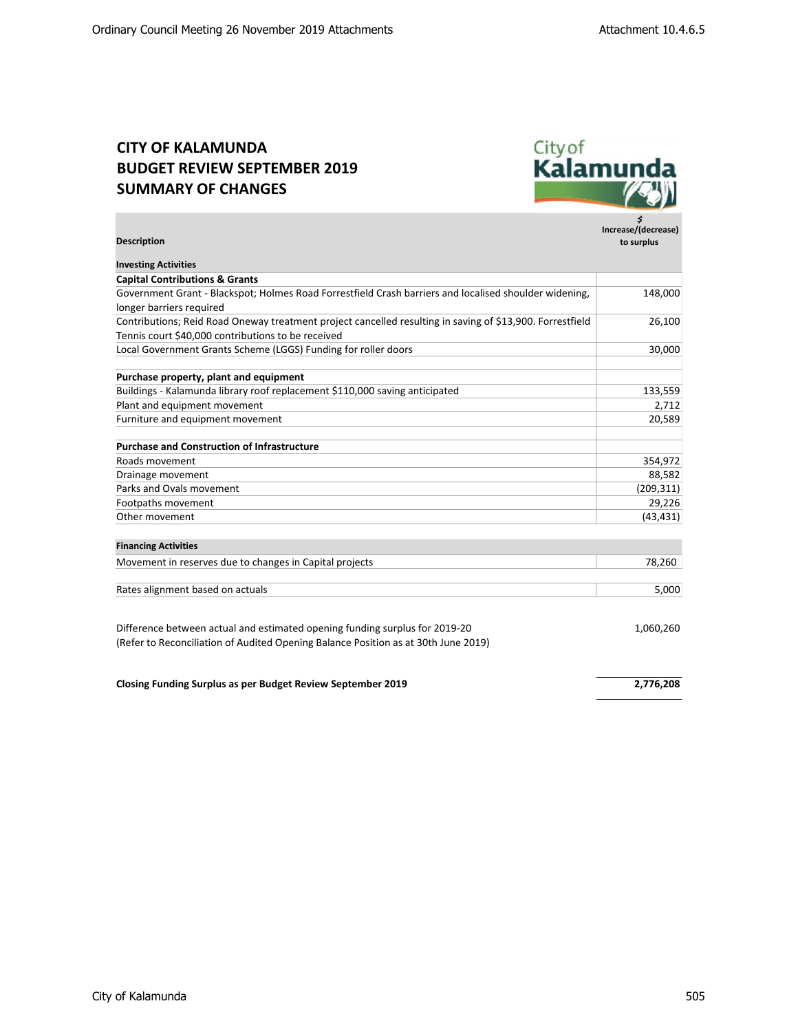## **CITY OF KALAMUNDA BUDGET REVIEW SEPTEMBER 2019 SUMMARY OF CHANGES**

 $\mathcal{L}^{\text{max}}_{\text{max}}$  , where  $\mathcal{L}^{\text{max}}_{\text{max}}$ 



| <b>Description</b>                                                                                        | \$<br>Increase/(decrease)<br>to surplus |
|-----------------------------------------------------------------------------------------------------------|-----------------------------------------|
| <b>Investing Activities</b>                                                                               |                                         |
| <b>Capital Contributions &amp; Grants</b>                                                                 |                                         |
| Government Grant - Blackspot; Holmes Road Forrestfield Crash barriers and localised shoulder widening,    | 148,000                                 |
| longer barriers required                                                                                  |                                         |
| Contributions; Reid Road Oneway treatment project cancelled resulting in saving of \$13,900. Forrestfield | 26,100                                  |
| Tennis court \$40,000 contributions to be received                                                        |                                         |
| Local Government Grants Scheme (LGGS) Funding for roller doors                                            | 30,000                                  |
| Purchase property, plant and equipment                                                                    |                                         |
| Buildings - Kalamunda library roof replacement \$110,000 saving anticipated                               | 133,559                                 |
| Plant and equipment movement                                                                              | 2,712                                   |
| Furniture and equipment movement                                                                          | 20,589                                  |
| <b>Purchase and Construction of Infrastructure</b>                                                        |                                         |
| Roads movement                                                                                            | 354,972                                 |
| Drainage movement                                                                                         | 88,582                                  |
| Parks and Ovals movement                                                                                  | (209, 311)                              |
| Footpaths movement                                                                                        | 29,226                                  |
| Other movement                                                                                            | (43, 431)                               |
| <b>Financing Activities</b>                                                                               |                                         |
| Movement in reserves due to changes in Capital projects                                                   | 78,260                                  |
| Rates alignment based on actuals                                                                          | 5,000                                   |
|                                                                                                           |                                         |
| Difference between actual and estimated opening funding surplus for 2019-20                               | 1,060,260                               |
| (Refer to Reconciliation of Audited Opening Balance Position as at 30th June 2019)                        |                                         |
| Closing Funding Surplus as per Budget Review September 2019                                               | 2,776,208                               |